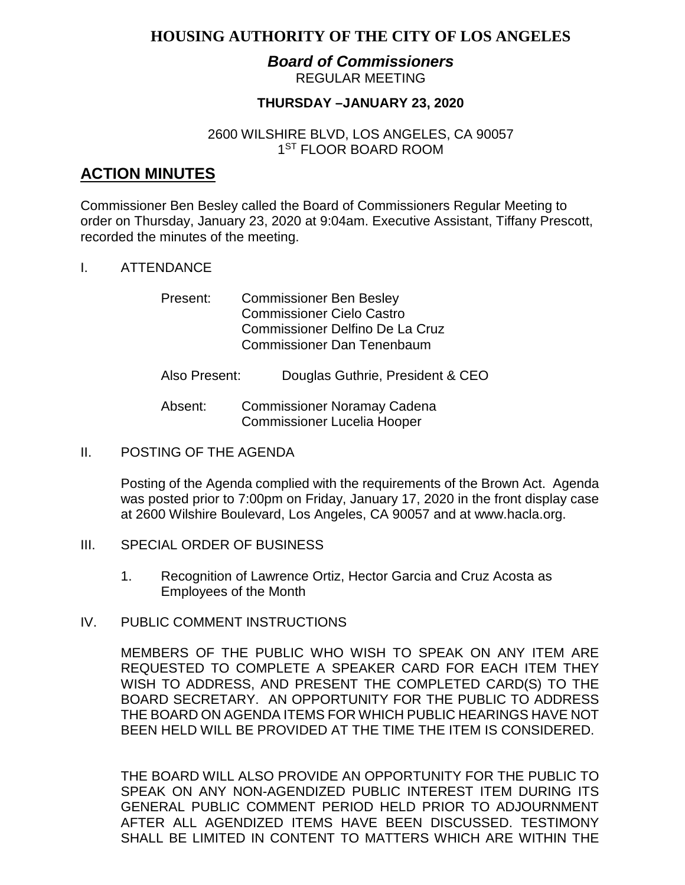# **HOUSING AUTHORITY OF THE CITY OF LOS ANGELES**

### *Board of Commissioners* REGULAR MEETING

# **THURSDAY –JANUARY 23, 2020**

# 2600 WILSHIRE BLVD, LOS ANGELES, CA 90057 1<sup>ST</sup> FLOOR BOARD ROOM

# **ACTION MINUTES**

Commissioner Ben Besley called the Board of Commissioners Regular Meeting to order on Thursday, January 23, 2020 at 9:04am. Executive Assistant, Tiffany Prescott, recorded the minutes of the meeting.

### I. ATTENDANCE

- Present: Commissioner Ben Besley Commissioner Cielo Castro Commissioner Delfino De La Cruz Commissioner Dan Tenenbaum
- Also Present: Douglas Guthrie, President & CEO
- Absent: Commissioner Noramay Cadena Commissioner Lucelia Hooper
- II. POSTING OF THE AGENDA

Posting of the Agenda complied with the requirements of the Brown Act. Agenda was posted prior to 7:00pm on Friday, January 17, 2020 in the front display case at 2600 Wilshire Boulevard, Los Angeles, CA 90057 and at [www.hacla.org.](http://www.hacla.org/)

- III. SPECIAL ORDER OF BUSINESS
	- 1. Recognition of Lawrence Ortiz, Hector Garcia and Cruz Acosta as Employees of the Month
- IV. PUBLIC COMMENT INSTRUCTIONS

MEMBERS OF THE PUBLIC WHO WISH TO SPEAK ON ANY ITEM ARE REQUESTED TO COMPLETE A SPEAKER CARD FOR EACH ITEM THEY WISH TO ADDRESS, AND PRESENT THE COMPLETED CARD(S) TO THE BOARD SECRETARY. AN OPPORTUNITY FOR THE PUBLIC TO ADDRESS THE BOARD ON AGENDA ITEMS FOR WHICH PUBLIC HEARINGS HAVE NOT BEEN HELD WILL BE PROVIDED AT THE TIME THE ITEM IS CONSIDERED.

THE BOARD WILL ALSO PROVIDE AN OPPORTUNITY FOR THE PUBLIC TO SPEAK ON ANY NON-AGENDIZED PUBLIC INTEREST ITEM DURING ITS GENERAL PUBLIC COMMENT PERIOD HELD PRIOR TO ADJOURNMENT AFTER ALL AGENDIZED ITEMS HAVE BEEN DISCUSSED. TESTIMONY SHALL BE LIMITED IN CONTENT TO MATTERS WHICH ARE WITHIN THE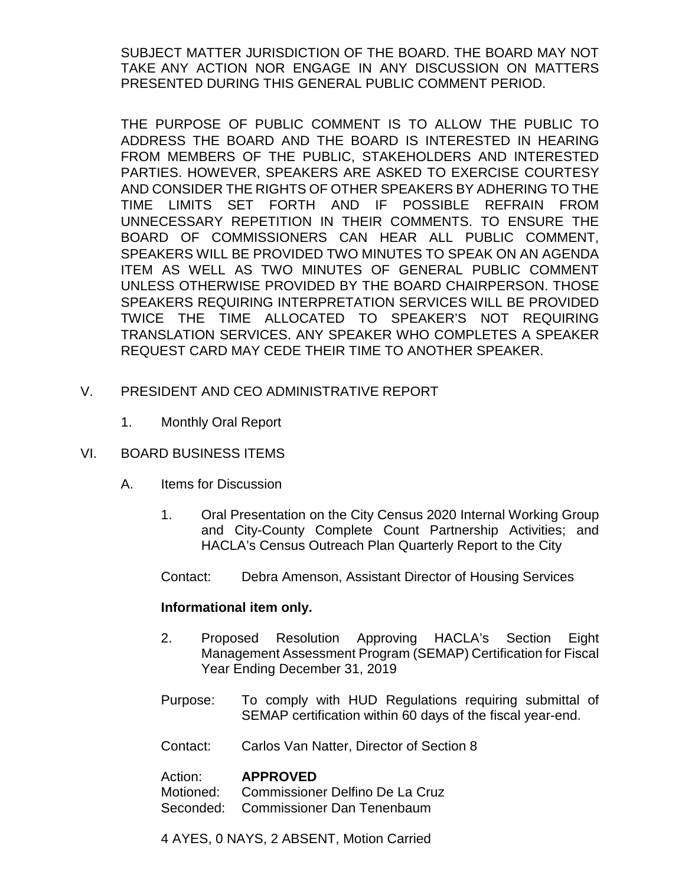SUBJECT MATTER JURISDICTION OF THE BOARD. THE BOARD MAY NOT TAKE ANY ACTION NOR ENGAGE IN ANY DISCUSSION ON MATTERS PRESENTED DURING THIS GENERAL PUBLIC COMMENT PERIOD.

THE PURPOSE OF PUBLIC COMMENT IS TO ALLOW THE PUBLIC TO ADDRESS THE BOARD AND THE BOARD IS INTERESTED IN HEARING FROM MEMBERS OF THE PUBLIC, STAKEHOLDERS AND INTERESTED PARTIES. HOWEVER, SPEAKERS ARE ASKED TO EXERCISE COURTESY AND CONSIDER THE RIGHTS OF OTHER SPEAKERS BY ADHERING TO THE TIME LIMITS SET FORTH AND IF POSSIBLE REFRAIN FROM UNNECESSARY REPETITION IN THEIR COMMENTS. TO ENSURE THE BOARD OF COMMISSIONERS CAN HEAR ALL PUBLIC COMMENT, SPEAKERS WILL BE PROVIDED TWO MINUTES TO SPEAK ON AN AGENDA ITEM AS WELL AS TWO MINUTES OF GENERAL PUBLIC COMMENT UNLESS OTHERWISE PROVIDED BY THE BOARD CHAIRPERSON. THOSE SPEAKERS REQUIRING INTERPRETATION SERVICES WILL BE PROVIDED TWICE THE TIME ALLOCATED TO SPEAKER'S NOT REQUIRING TRANSLATION SERVICES. ANY SPEAKER WHO COMPLETES A SPEAKER REQUEST CARD MAY CEDE THEIR TIME TO ANOTHER SPEAKER.

- V. PRESIDENT AND CEO ADMINISTRATIVE REPORT
	- 1. Monthly Oral Report
- VI. BOARD BUSINESS ITEMS
	- A. Items for Discussion
		- 1. Oral Presentation on the City Census 2020 Internal Working Group and City-County Complete Count Partnership Activities; and HACLA's Census Outreach Plan Quarterly Report to the City
		- Contact: Debra Amenson, Assistant Director of Housing Services

# **Informational item only.**

- 2. Proposed Resolution Approving HACLA's Section Eight Management Assessment Program (SEMAP) Certification for Fiscal Year Ending December 31, 2019
- Purpose: To comply with HUD Regulations requiring submittal of SEMAP certification within 60 days of the fiscal year-end.
- Contact: Carlos Van Natter, Director of Section 8

# Action: **APPROVED**

Motioned: Commissioner Delfino De La Cruz Seconded: Commissioner Dan Tenenbaum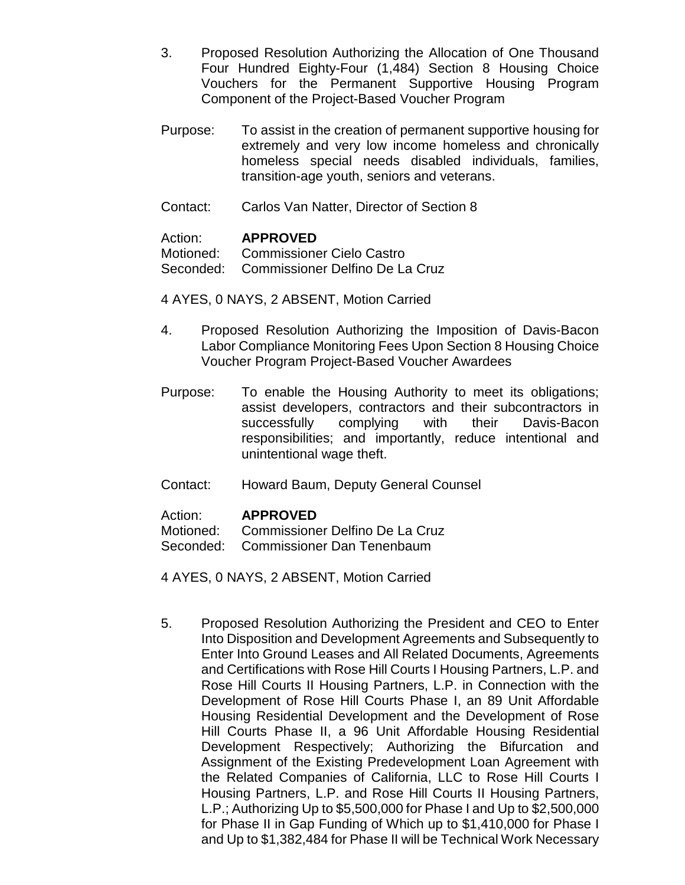- 3. Proposed Resolution Authorizing the Allocation of One Thousand Four Hundred Eighty-Four (1,484) Section 8 Housing Choice Vouchers for the Permanent Supportive Housing Program Component of the Project-Based Voucher Program
- Purpose: To assist in the creation of permanent supportive housing for extremely and very low income homeless and chronically homeless special needs disabled individuals, families, transition-age youth, seniors and veterans.
- Contact: Carlos Van Natter, Director of Section 8

### Action: **APPROVED**

Motioned: Commissioner Cielo Castro Seconded: Commissioner Delfino De La Cruz

4 AYES, 0 NAYS, 2 ABSENT, Motion Carried

- 4. Proposed Resolution Authorizing the Imposition of Davis-Bacon Labor Compliance Monitoring Fees Upon Section 8 Housing Choice Voucher Program Project-Based Voucher Awardees
- Purpose: To enable the Housing Authority to meet its obligations; assist developers, contractors and their subcontractors in successfully complying with their Davis-Bacon responsibilities; and importantly, reduce intentional and unintentional wage theft.
- Contact: Howard Baum, Deputy General Counsel

Action: **APPROVED**

Motioned: Commissioner Delfino De La Cruz

Seconded: Commissioner Dan Tenenbaum

4 AYES, 0 NAYS, 2 ABSENT, Motion Carried

5. Proposed Resolution Authorizing the President and CEO to Enter Into Disposition and Development Agreements and Subsequently to Enter Into Ground Leases and All Related Documents, Agreements and Certifications with Rose Hill Courts I Housing Partners, L.P. and Rose Hill Courts II Housing Partners, L.P. in Connection with the Development of Rose Hill Courts Phase I, an 89 Unit Affordable Housing Residential Development and the Development of Rose Hill Courts Phase II, a 96 Unit Affordable Housing Residential Development Respectively; Authorizing the Bifurcation and Assignment of the Existing Predevelopment Loan Agreement with the Related Companies of California, LLC to Rose Hill Courts I Housing Partners, L.P. and Rose Hill Courts II Housing Partners, L.P.; Authorizing Up to \$5,500,000 for Phase I and Up to \$2,500,000 for Phase II in Gap Funding of Which up to \$1,410,000 for Phase I and Up to \$1,382,484 for Phase II will be Technical Work Necessary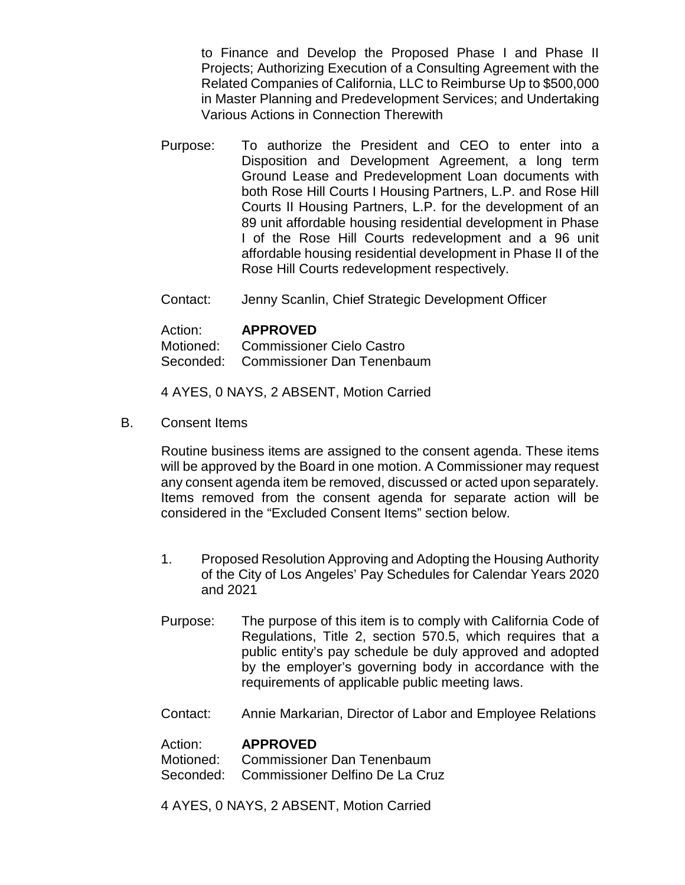to Finance and Develop the Proposed Phase I and Phase II Projects; Authorizing Execution of a Consulting Agreement with the Related Companies of California, LLC to Reimburse Up to \$500,000 in Master Planning and Predevelopment Services; and Undertaking Various Actions in Connection Therewith

- Purpose: To authorize the President and CEO to enter into a Disposition and Development Agreement, a long term Ground Lease and Predevelopment Loan documents with both Rose Hill Courts I Housing Partners, L.P. and Rose Hill Courts II Housing Partners, L.P. for the development of an 89 unit affordable housing residential development in Phase I of the Rose Hill Courts redevelopment and a 96 unit affordable housing residential development in Phase II of the Rose Hill Courts redevelopment respectively.
- Contact: Jenny Scanlin, Chief Strategic Development Officer

#### Action: **APPROVED**

Motioned: Commissioner Cielo Castro

Seconded: Commissioner Dan Tenenbaum

4 AYES, 0 NAYS, 2 ABSENT, Motion Carried

B. Consent Items

Routine business items are assigned to the consent agenda. These items will be approved by the Board in one motion. A Commissioner may request any consent agenda item be removed, discussed or acted upon separately. Items removed from the consent agenda for separate action will be considered in the "Excluded Consent Items" section below.

- 1. Proposed Resolution Approving and Adopting the Housing Authority of the City of Los Angeles' Pay Schedules for Calendar Years 2020 and 2021
- Purpose: The purpose of this item is to comply with California Code of Regulations, Title 2, section 570.5, which requires that a public entity's pay schedule be duly approved and adopted by the employer's governing body in accordance with the requirements of applicable public meeting laws.
- Contact: Annie Markarian, Director of Labor and Employee Relations

#### Action: **APPROVED**

Motioned: Commissioner Dan Tenenbaum Seconded: Commissioner Delfino De La Cruz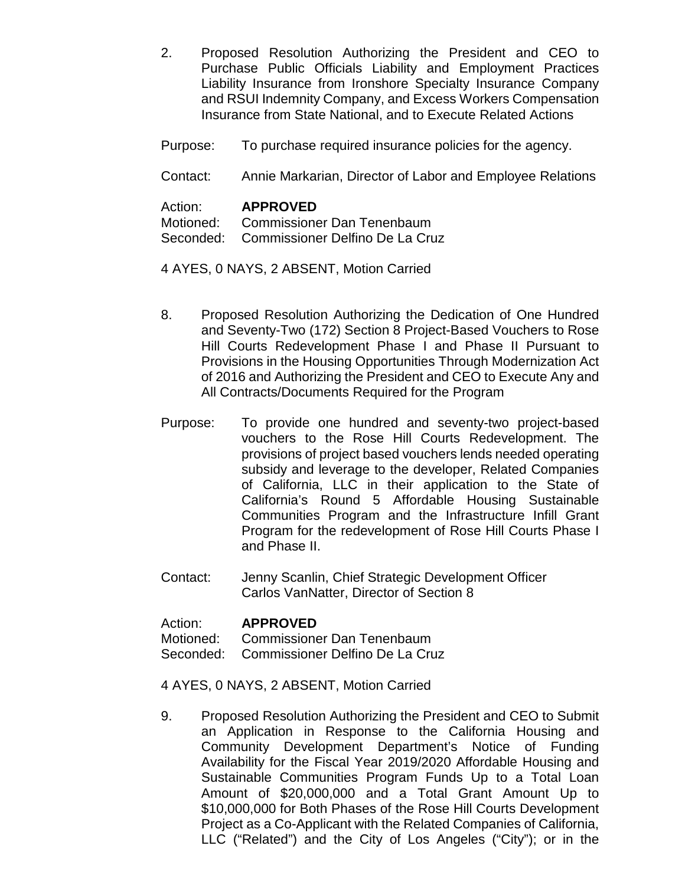- 2. Proposed Resolution Authorizing the President and CEO to Purchase Public Officials Liability and Employment Practices Liability Insurance from Ironshore Specialty Insurance Company and RSUI Indemnity Company, and Excess Workers Compensation Insurance from State National, and to Execute Related Actions
- Purpose: To purchase required insurance policies for the agency.
- Contact: Annie Markarian, Director of Labor and Employee Relations

| Action: | <b>APPROVED</b>                           |
|---------|-------------------------------------------|
|         | Motioned: Commissioner Dan Tenenbaum      |
|         | Seconded: Commissioner Delfino De La Cruz |

- 4 AYES, 0 NAYS, 2 ABSENT, Motion Carried
- 8. Proposed Resolution Authorizing the Dedication of One Hundred and Seventy-Two (172) Section 8 Project-Based Vouchers to Rose Hill Courts Redevelopment Phase I and Phase II Pursuant to Provisions in the Housing Opportunities Through Modernization Act of 2016 and Authorizing the President and CEO to Execute Any and All Contracts/Documents Required for the Program
- Purpose: To provide one hundred and seventy-two project-based vouchers to the Rose Hill Courts Redevelopment. The provisions of project based vouchers lends needed operating subsidy and leverage to the developer, Related Companies of California, LLC in their application to the State of California's Round 5 Affordable Housing Sustainable Communities Program and the Infrastructure Infill Grant Program for the redevelopment of Rose Hill Courts Phase I and Phase II.
- Contact: Jenny Scanlin, Chief Strategic Development Officer Carlos VanNatter, Director of Section 8

#### Action: **APPROVED**

Motioned: Commissioner Dan Tenenbaum

- Seconded: Commissioner Delfino De La Cruz
- 4 AYES, 0 NAYS, 2 ABSENT, Motion Carried
- 9. Proposed Resolution Authorizing the President and CEO to Submit an Application in Response to the California Housing and Community Development Department's Notice of Funding Availability for the Fiscal Year 2019/2020 Affordable Housing and Sustainable Communities Program Funds Up to a Total Loan Amount of \$20,000,000 and a Total Grant Amount Up to \$10,000,000 for Both Phases of the Rose Hill Courts Development Project as a Co-Applicant with the Related Companies of California, LLC ("Related") and the City of Los Angeles ("City"); or in the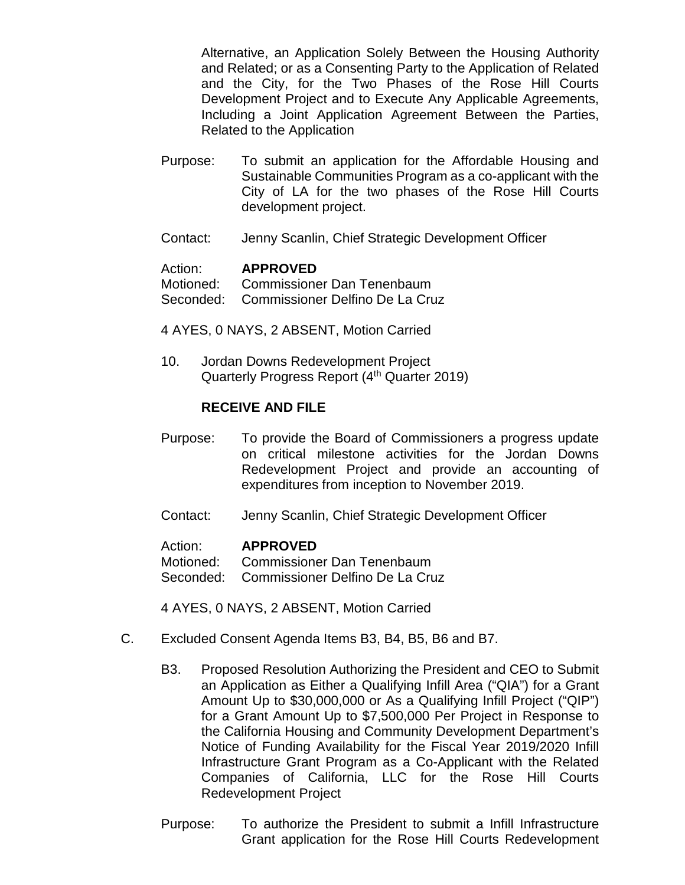Alternative, an Application Solely Between the Housing Authority and Related; or as a Consenting Party to the Application of Related and the City, for the Two Phases of the Rose Hill Courts Development Project and to Execute Any Applicable Agreements, Including a Joint Application Agreement Between the Parties, Related to the Application

- Purpose: To submit an application for the Affordable Housing and Sustainable Communities Program as a co-applicant with the City of LA for the two phases of the Rose Hill Courts development project.
- Contact: Jenny Scanlin, Chief Strategic Development Officer

### Action: **APPROVED**

Motioned: Commissioner Dan Tenenbaum Seconded: Commissioner Delfino De La Cruz

4 AYES, 0 NAYS, 2 ABSENT, Motion Carried

10. Jordan Downs Redevelopment Project Quarterly Progress Report (4<sup>th</sup> Quarter 2019)

### **RECEIVE AND FILE**

- Purpose: To provide the Board of Commissioners a progress update on critical milestone activities for the Jordan Downs Redevelopment Project and provide an accounting of expenditures from inception to November 2019.
- Contact: Jenny Scanlin, Chief Strategic Development Officer

#### Action: **APPROVED**

Motioned: Commissioner Dan Tenenbaum

Seconded: Commissioner Delfino De La Cruz

- C. Excluded Consent Agenda Items B3, B4, B5, B6 and B7.
	- B3. Proposed Resolution Authorizing the President and CEO to Submit an Application as Either a Qualifying Infill Area ("QIA") for a Grant Amount Up to \$30,000,000 or As a Qualifying Infill Project ("QIP") for a Grant Amount Up to \$7,500,000 Per Project in Response to the California Housing and Community Development Department's Notice of Funding Availability for the Fiscal Year 2019/2020 Infill Infrastructure Grant Program as a Co-Applicant with the Related Companies of California, LLC for the Rose Hill Courts Redevelopment Project
	- Purpose: To authorize the President to submit a Infill Infrastructure Grant application for the Rose Hill Courts Redevelopment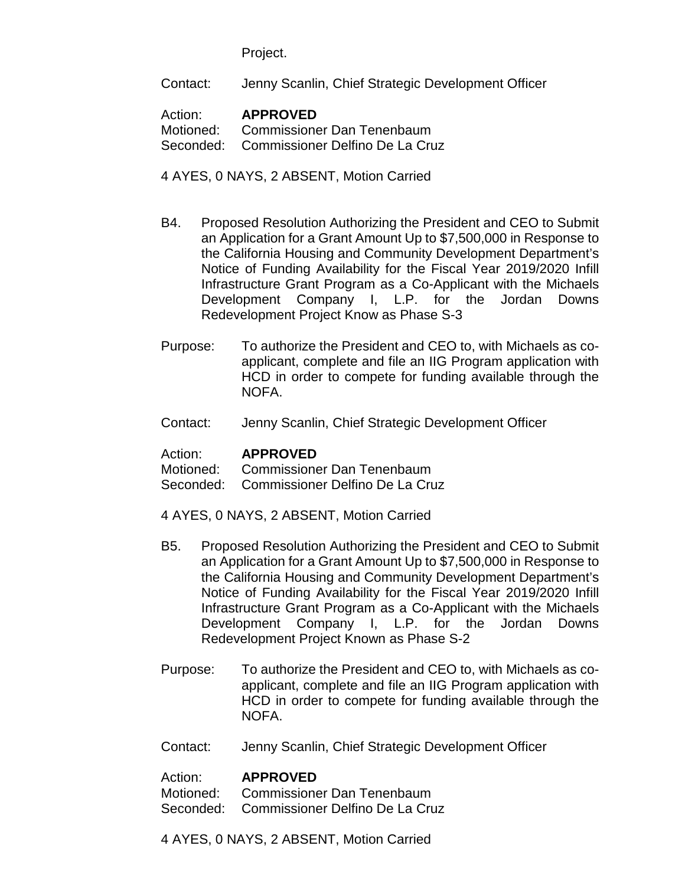Project.

Contact: Jenny Scanlin, Chief Strategic Development Officer

# Action: **APPROVED**

Motioned: Commissioner Dan Tenenbaum Seconded: Commissioner Delfino De La Cruz

4 AYES, 0 NAYS, 2 ABSENT, Motion Carried

- B4. Proposed Resolution Authorizing the President and CEO to Submit an Application for a Grant Amount Up to \$7,500,000 in Response to the California Housing and Community Development Department's Notice of Funding Availability for the Fiscal Year 2019/2020 Infill Infrastructure Grant Program as a Co-Applicant with the Michaels Development Company I, L.P. for the Jordan Downs Redevelopment Project Know as Phase S-3
- Purpose: To authorize the President and CEO to, with Michaels as coapplicant, complete and file an IIG Program application with HCD in order to compete for funding available through the NOFA.
- Contact: Jenny Scanlin, Chief Strategic Development Officer

# Action: **APPROVED**

Motioned: Commissioner Dan Tenenbaum

Seconded: Commissioner Delfino De La Cruz

- 4 AYES, 0 NAYS, 2 ABSENT, Motion Carried
- B5. Proposed Resolution Authorizing the President and CEO to Submit an Application for a Grant Amount Up to \$7,500,000 in Response to the California Housing and Community Development Department's Notice of Funding Availability for the Fiscal Year 2019/2020 Infill Infrastructure Grant Program as a Co-Applicant with the Michaels Development Company I, L.P. for the Jordan Downs Redevelopment Project Known as Phase S-2
- Purpose: To authorize the President and CEO to, with Michaels as coapplicant, complete and file an IIG Program application with HCD in order to compete for funding available through the NOFA.
- Contact: Jenny Scanlin, Chief Strategic Development Officer

# Action: **APPROVED**

Motioned: Commissioner Dan Tenenbaum Seconded: Commissioner Delfino De La Cruz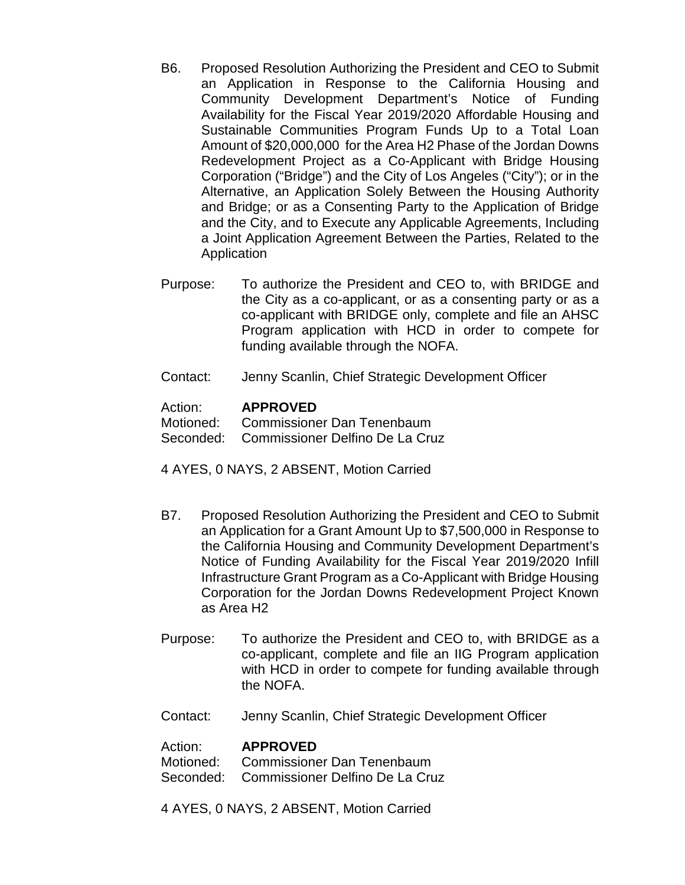- B6. Proposed Resolution Authorizing the President and CEO to Submit an Application in Response to the California Housing and Community Development Department's Notice of Funding Availability for the Fiscal Year 2019/2020 Affordable Housing and Sustainable Communities Program Funds Up to a Total Loan Amount of \$20,000,000 for the Area H2 Phase of the Jordan Downs Redevelopment Project as a Co-Applicant with Bridge Housing Corporation ("Bridge") and the City of Los Angeles ("City"); or in the Alternative, an Application Solely Between the Housing Authority and Bridge; or as a Consenting Party to the Application of Bridge and the City, and to Execute any Applicable Agreements, Including a Joint Application Agreement Between the Parties, Related to the Application
- Purpose: To authorize the President and CEO to, with BRIDGE and the City as a co-applicant, or as a consenting party or as a co-applicant with BRIDGE only, complete and file an AHSC Program application with HCD in order to compete for funding available through the NOFA.
- Contact: Jenny Scanlin, Chief Strategic Development Officer

### Action: **APPROVED**

Motioned: Commissioner Dan Tenenbaum

Seconded: Commissioner Delfino De La Cruz

4 AYES, 0 NAYS, 2 ABSENT, Motion Carried

- B7. Proposed Resolution Authorizing the President and CEO to Submit an Application for a Grant Amount Up to \$7,500,000 in Response to the California Housing and Community Development Department's Notice of Funding Availability for the Fiscal Year 2019/2020 Infill Infrastructure Grant Program as a Co-Applicant with Bridge Housing Corporation for the Jordan Downs Redevelopment Project Known as Area H2
- Purpose: To authorize the President and CEO to, with BRIDGE as a co-applicant, complete and file an IIG Program application with HCD in order to compete for funding available through the NOFA.
- Contact: Jenny Scanlin, Chief Strategic Development Officer

#### Action: **APPROVED**

Motioned: Commissioner Dan Tenenbaum Seconded: Commissioner Delfino De La Cruz